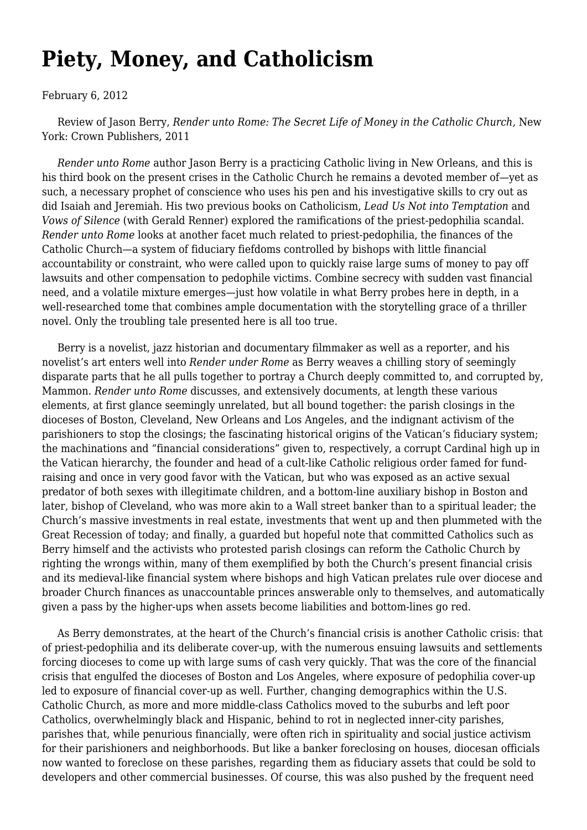## **[Piety, Money, and Catholicism](https://newpol.org/piety-money-and-catholicism/)**

## February 6, 2012

 Review of Jason Berry, *Render unto Rome: The Secret Life of Money in the Catholic Church,* New York: Crown Publishers, 2011

 *Render unto Rome* author Jason Berry is a practicing Catholic living in New Orleans, and this is his third book on the present crises in the Catholic Church he remains a devoted member of—yet as such, a necessary prophet of conscience who uses his pen and his investigative skills to cry out as did Isaiah and Jeremiah. His two previous books on Catholicism, *Lead Us Not into Temptation* and *Vows of Silence* (with Gerald Renner) explored the ramifications of the priest-pedophilia scandal. *Render unto Rome* looks at another facet much related to priest-pedophilia, the finances of the Catholic Church—a system of fiduciary fiefdoms controlled by bishops with little financial accountability or constraint, who were called upon to quickly raise large sums of money to pay off lawsuits and other compensation to pedophile victims. Combine secrecy with sudden vast financial need, and a volatile mixture emerges—just how volatile in what Berry probes here in depth, in a well-researched tome that combines ample documentation with the storytelling grace of a thriller novel. Only the troubling tale presented here is all too true.

 Berry is a novelist, jazz historian and documentary filmmaker as well as a reporter, and his novelist's art enters well into *Render under Rome* as Berry weaves a chilling story of seemingly disparate parts that he all pulls together to portray a Church deeply committed to, and corrupted by, Mammon. *Render unto Rome* discusses, and extensively documents, at length these various elements, at first glance seemingly unrelated, but all bound together: the parish closings in the dioceses of Boston, Cleveland, New Orleans and Los Angeles, and the indignant activism of the parishioners to stop the closings; the fascinating historical origins of the Vatican's fiduciary system; the machinations and "financial considerations" given to, respectively, a corrupt Cardinal high up in the Vatican hierarchy, the founder and head of a cult-like Catholic religious order famed for fundraising and once in very good favor with the Vatican, but who was exposed as an active sexual predator of both sexes with illegitimate children, and a bottom-line auxiliary bishop in Boston and later, bishop of Cleveland, who was more akin to a Wall street banker than to a spiritual leader; the Church's massive investments in real estate, investments that went up and then plummeted with the Great Recession of today; and finally, a guarded but hopeful note that committed Catholics such as Berry himself and the activists who protested parish closings can reform the Catholic Church by righting the wrongs within, many of them exemplified by both the Church's present financial crisis and its medieval-like financial system where bishops and high Vatican prelates rule over diocese and broader Church finances as unaccountable princes answerable only to themselves, and automatically given a pass by the higher-ups when assets become liabilities and bottom-lines go red.

 As Berry demonstrates, at the heart of the Church's financial crisis is another Catholic crisis: that of priest-pedophilia and its deliberate cover-up, with the numerous ensuing lawsuits and settlements forcing dioceses to come up with large sums of cash very quickly. That was the core of the financial crisis that engulfed the dioceses of Boston and Los Angeles, where exposure of pedophilia cover-up led to exposure of financial cover-up as well. Further, changing demographics within the U.S. Catholic Church, as more and more middle-class Catholics moved to the suburbs and left poor Catholics, overwhelmingly black and Hispanic, behind to rot in neglected inner-city parishes, parishes that, while penurious financially, were often rich in spirituality and social justice activism for their parishioners and neighborhoods. But like a banker foreclosing on houses, diocesan officials now wanted to foreclose on these parishes, regarding them as fiduciary assets that could be sold to developers and other commercial businesses. Of course, this was also pushed by the frequent need